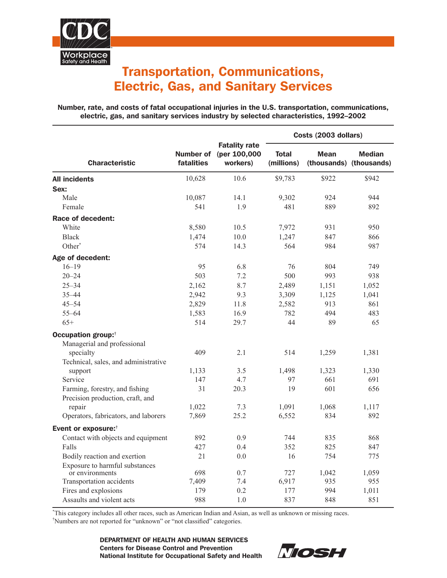

## Transportation, Communications, Electric, Gas, and Sanitary Services

Number, rate, and costs of fatal occupational injuries in the U.S. transportation, communications, electric, gas, and sanitary services industry by selected characteristics, 1992–2002

|                                                                    | fatalities | <b>Fatality rate</b><br>Number of (per 100,000<br>workers) | Costs (2003 dollars)       |             |                                          |
|--------------------------------------------------------------------|------------|------------------------------------------------------------|----------------------------|-------------|------------------------------------------|
| <b>Characteristic</b>                                              |            |                                                            | <b>Total</b><br>(millions) | <b>Mean</b> | <b>Median</b><br>(thousands) (thousands) |
| <b>All incidents</b>                                               | 10,628     | 10.6                                                       | \$9,783                    | \$922       | \$942                                    |
| Sex:                                                               |            |                                                            |                            |             |                                          |
| Male                                                               | 10,087     | 14.1                                                       | 9,302                      | 924         | 944                                      |
| Female                                                             | 541        | 1.9                                                        | 481                        | 889         | 892                                      |
| Race of decedent:                                                  |            |                                                            |                            |             |                                          |
| White                                                              | 8,580      | 10.5                                                       | 7,972                      | 931         | 950                                      |
| <b>Black</b>                                                       | 1,474      | 10.0                                                       | 1,247                      | 847         | 866                                      |
| Other <sup>*</sup>                                                 | 574        | 14.3                                                       | 564                        | 984         | 987                                      |
| Age of decedent:                                                   |            |                                                            |                            |             |                                          |
| $16 - 19$                                                          | 95         | 6.8                                                        | 76                         | 804         | 749                                      |
| $20 - 24$                                                          | 503        | 7.2                                                        | 500                        | 993         | 938                                      |
| $25 - 34$                                                          | 2,162      | 8.7                                                        | 2,489                      | 1,151       | 1,052                                    |
| $35 - 44$                                                          | 2,942      | 9.3                                                        | 3,309                      | 1,125       | 1,041                                    |
| $45 - 54$                                                          | 2,829      | 11.8                                                       | 2,582                      | 913         | 861                                      |
| $55 - 64$                                                          | 1,583      | 16.9                                                       | 782                        | 494         | 483                                      |
| $65+$                                                              | 514        | 29.7                                                       | 44                         | 89          | 65                                       |
| Occupation group: <sup>†</sup><br>Managerial and professional      |            |                                                            |                            |             |                                          |
| specialty                                                          | 409        | 2.1                                                        | 514                        | 1,259       | 1,381                                    |
| Technical, sales, and administrative                               |            |                                                            |                            |             |                                          |
| support                                                            | 1,133      | 3.5                                                        | 1,498                      | 1,323       | 1,330                                    |
| Service                                                            | 147        | 4.7                                                        | 97                         | 661         | 691                                      |
| Farming, forestry, and fishing<br>Precision production, craft, and | 31         | 20.3                                                       | 19                         | 601         | 656                                      |
| repair                                                             | 1,022      | 7.3                                                        | 1,091                      | 1,068       | 1,117                                    |
| Operators, fabricators, and laborers                               | 7,869      | 25.2                                                       | 6,552                      | 834         | 892                                      |
| Event or exposure: <sup>†</sup>                                    |            |                                                            |                            |             |                                          |
| Contact with objects and equipment                                 | 892        | 0.9                                                        | 744                        | 835         | 868                                      |
| Falls                                                              | 427        | 0.4                                                        | 352                        | 825         | 847                                      |
| Bodily reaction and exertion                                       | 21         | 0.0                                                        | 16                         | 754         | 775                                      |
| Exposure to harmful substances<br>or environments                  | 698        | 0.7                                                        | 727                        | 1,042       | 1,059                                    |
| Transportation accidents                                           | 7,409      | 7.4                                                        | 6,917                      | 935         | 955                                      |
| Fires and explosions                                               | 179        | 0.2                                                        | 177                        | 994         | 1,011                                    |
| Assaults and violent acts                                          | 988        | 1.0                                                        | 837                        | 848         | 851                                      |

\* This category includes all other races, such as American Indian and Asian, as well as unknown or missing races.

† Numbers are not reported for "unknown" or "not classified" categories.

DEPARTMENT OF HEALTH AND HUMAN SERVICES Centers for Disease Control and Prevention National Institute for Occupational Safety and Health